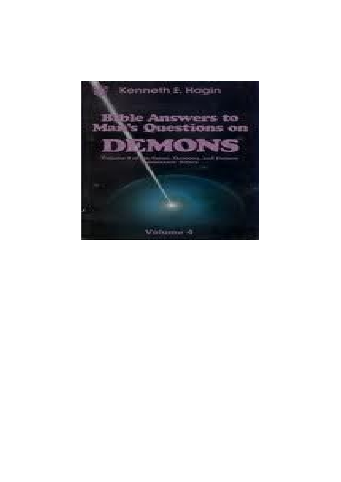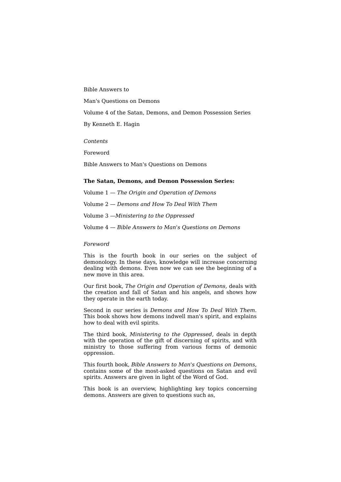Bible Answers to

Man's Questions on Demons

Volume 4 of the Satan, Demons, and Demon Possession Series

By Kenneth E. Hagin

*Contents*

Foreword

Bible Answers to Man's Questions on Demons

#### **The Satan, Demons, and Demon Possession Series:**

Volume 1 — *The Origin and Operation of Demons* Volume 2 — *Demons and How To Deal With Them* Volume 3 —*Ministering to the Oppressed* Volume 4 — *Bible Answers to Man's Questions on Demons*

### *Foreword*

This is the fourth book in our series on the subject of demonology. In these days, knowledge will increase concerning dealing with demons. Even now we can see the beginning of a new move in this area.

Our first book, *The Origin and Operation of Demons,* deals with the creation and fall of Satan and his angels, and shows how they operate in the earth today.

Second in our series is *Demons and How To Deal With Them.* This book shows how demons indwell man's spirit, and explains how to deal with evil spirits.

The third book, *Ministering to the Oppressed,* deals in depth with the operation of the gift of discerning of spirits, and with ministry to those suffering from various forms of demonic oppression.

This fourth book, *Bible Answers to Man's Questions on Demons,* contains some of the most-asked questions on Satan and evil spirits. Answers are given in light of the Word of God.

This book is an overview, highlighting key topics concerning demons. Answers are given to questions such as,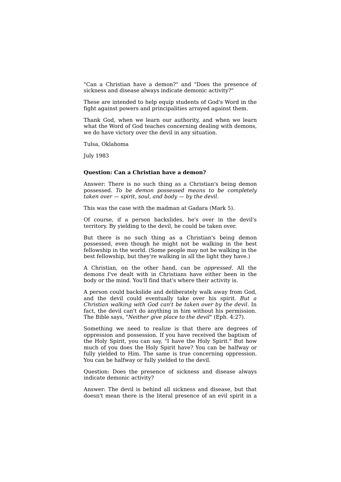"Can a Christian have a demon?" and "Does the presence of sickness and disease always indicate demonic activity?"

These are intended to help equip students of God's Word in the fight against powers and principalities arrayed against them.

Thank God, when we learn our authority, and when we learn what the Word of God teaches concerning dealing with demons, we do have victory over the devil in any situation.

Tulsa, Oklahoma

July 1983

# **Question: Can a Christian have a demon?**

Answer: There is no such thing as a Christian's being demon possessed. *To be demon possessed means to be completely taken over* — *spirit, soul, and body* — *by the devil.*

This was the case with the madman at Gadara (Mark 5).

Of course, if a person backslides, he's over in the devil's territory. By yielding to the devil, he could be taken over.

But there is no such thing as a Christian's being demon possessed, even though he might not be walking in the best fellowship in the world. (Some people may not be walking in the best fellowship, but they're walking in all the light they have.)

A Christian, on the other hand, can be *oppressed.* All the demons I've dealt with in Christians have either been in the body or the mind. You'll find that's where their activity is.

A person could backslide and deliberately walk away from God, and the devil could eventually take over his spirit. *But a Christian walking with God can't be taken over by the devil.* In fact, the devil can't do anything in him without his permission. The Bible says, *"Neither give place to the devil"* (Eph. 4:27).

Something we need to realize is that there are degrees of oppression and possession. If you have received the baptism of the Holy Spirit, you can say, "I have the Holy Spirit." But how much of you does the Holy Spirit have? You can be halfway or fully yielded to Him. The same is true concerning oppression. You can be halfway or fully yielded to the devil.

Question: Does the presence of sickness and disease always indicate demonic activity?

Answer: The devil is behind all sickness and disease, but that doesn't mean there is the literal presence of an evil spirit in a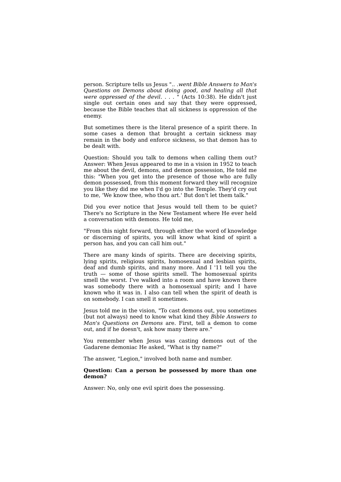person. Scripture tells us Jesus ".. *.went Bible Answers to Man's Questions on Demons about doing good, and healing all that were oppressed of the devil*. . . . " (Acts 10:38). He didn't just single out certain ones and say that they were oppressed, because the Bible teaches that all sickness is oppression of the enemy.

But sometimes there is the literal presence of a spirit there. In some cases a demon that brought a certain sickness may remain in the body and enforce sickness, so that demon has to be dealt with.

Question: Should you talk to demons when calling them out? Answer: When Jesus appeared to me in a vision in 1952 to teach me about the devil, demons, and demon possession, He told me this: "When you get into the presence of those who are fully demon possessed, from this moment forward they will recognize you like they did me when I'd go into the Temple. They'd cry out to me, 'We know thee, who thou art.' But don't let them talk."

Did you ever notice that Jesus would tell them to be quiet? There's no Scripture in the New Testament where He ever held a conversation with demons. He told me,

"From this night forward, through either the word of knowledge or discerning of spirits, you will know what kind of spirit a person has, and you can call him out."

There are many kinds of spirits. There are deceiving spirits, lying spirits, religious spirits, homosexual and lesbian spirits, deaf and dumb spirits, and many more. And I '11 tell you the truth — some of those spirits smell. The homosexual spirits smell the worst. I've walked into a room and have known there was somebody there with a homosexual spirit; and I have known who it was in. I also can tell when the spirit of death is on somebody. I can smell it sometimes.

Jesus told me in the vision, "To cast demons out, you sometimes (but not always) need to know what kind they *Bible Answers to Man's Questions on Demons* are. First, tell a demon to come out, and if he doesn't, ask how many there are."

You remember when Jesus was casting demons out of the Gadarene demoniac He asked, "What is thy name?"

The answer, "Legion," involved both name and number.

## **Question: Can a person be possessed by more than one demon?**

Answer: No, only one evil spirit does the possessing.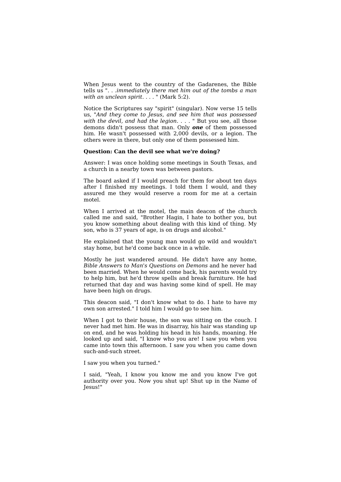When Jesus went to the country of the Gadarenes, the Bible tells us ". . *.immediately there met him out of the tombs a man with an unclean spirit.* . . . " (Mark 5:2).

Notice the Scriptures say "spirit" (singular). Now verse 15 tells us, *"And they come to Jesus, and see him that was possessed with the devil, and had the legion*. . . . " But you see, all those demons didn't possess that man. Only *one* of them possessed him. He wasn't possessed with 2,000 devils, or a legion. The others were in there, but only one of them possessed him.

#### **Question: Can the devil see what we're doing?**

Answer: I was once holding some meetings in South Texas, and a church in a nearby town was between pastors.

The board asked if I would preach for them for about ten days after I finished my meetings. I told them I would, and they assured me they would reserve a room for me at a certain motel.

When I arrived at the motel, the main deacon of the church called me and said, "Brother Hagin, I hate to bother you, but you know something about dealing with this kind of thing. My son, who is 37 years of age, is on drugs and alcohol."

He explained that the young man would go wild and wouldn't stay home, but he'd come back once in a while.

Mostly he just wandered around. He didn't have any home, *Bible Answers to Man's Questions on Demons* and he never had been married. When he would come back, his parents would try to help him, but he'd throw spells and break furniture. He had returned that day and was having some kind of spell. He may have been high on drugs.

This deacon said, "I don't know what to do. I hate to have my own son arrested." I told him I would go to see him.

When I got to their house, the son was sitting on the couch. I never had met him. He was in disarray, his hair was standing up on end, and he was holding his head in his hands, moaning. He looked up and said, "I know who you are! I saw you when you came into town this afternoon. I saw you when you came down such-and-such street.

I saw you when you turned."

I said, "Yeah, I know you know me and you know I've got authority over you. Now you shut up! Shut up in the Name of Jesus!"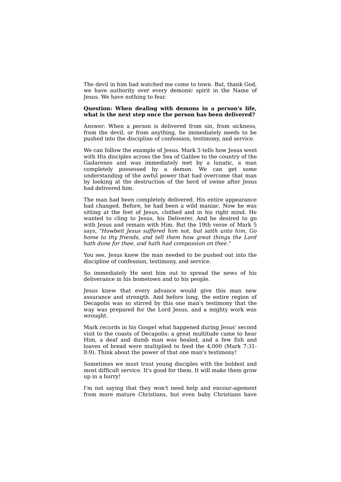The devil in him had watched me come to town. But, thank God, we have authority over every demonic spirit in the Name of Jesus. We have nothing to fear.

### **Question: When dealing with demons in a person's life, what is the next step once the person has been delivered?**

Answer: When a person is delivered from sin, from sickness, from the devil, or from anything, he immediately needs to be pushed into the discipline of confession, testimony, and service.

We can follow the example of Jesus. Mark 5 tells how Jesus went with His disciples across the Sea of Galilee to the country of the Gadarenes and was immediately met by a lunatic, a man completely possessed by a demon. We can get some understanding of the awful power that had overcome that man by looking at the destruction of the herd of swine after Jesus had delivered him.

The man had been completely delivered. His entire appearance had changed. Before, he had been a wild maniac. Now he was sitting at the feet of Jesus, clothed and in his right mind. He wanted to cling to Jesus, his Deliverer. And he desired to go with Jesus and remain with Him. But the 19th verse of Mark 5 says, *"Howbeit Jesus suffered him not, but saith unto him, Go home to thy friends, and tell them how great things the Lord hath done for thee, and hath had compassion on thee."*

You see, Jesus knew the man needed to be pushed out into the discipline of confession, testimony, and service.

So immediately He sent him out to spread the news of his deliverance in his hometown and to his people.

Jesus knew that every advance would give this man new assurance and strength. And before long, the entire region of Decapolis was so stirred by this one man's testimony that the way was prepared for the Lord Jesus, and a mighty work was wrought.

Mark records in his Gospel what happened during Jesus' second visit to the coasts of Decapolis: a great multitude came to hear Him, a deaf and dumb man was healed, and a few fish and loaves of bread were multiplied to feed the 4,000 (Mark 7:31- 8:9). Think about the power of that one man's testimony!

Sometimes we must trust young disciples with the boldest and most difficult service. It's good for them. It will make them grow up in a hurry!

I'm not saying that they won't need help and encour-agement from more mature Christians, but even baby Christians have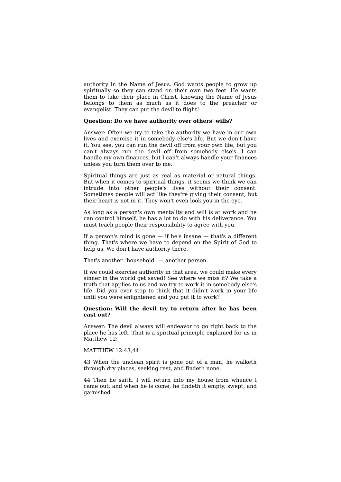authority in the Name of Jesus. God wants people to grow up spiritually so they can stand on their own two feet. He wants them to take their place in Christ, knowing the Name of Jesus belongs to them as much as it does to the preacher or evangelist. They can put the devil to flight!

#### **Question: Do we have authority over others' wills?**

Answer: Often we try to take the authority we have in our own lives and exercise it in somebody else's life. But we don't have it. You see, you can run the devil off from your own life, but you can't always run the devil off from somebody else's. I can handle my own finances, but I can't always handle your finances unless you turn them over to me.

Spiritual things are just as real as material or natural things. But when it comes to spiritual things, it seems we think we can intrude into other people's lives without their consent. Sometimes people will act like they're giving their consent, but their heart is not in it. They won't even look you in the eye.

As long as a person's own mentality and will is at work and he can control himself, he has a lot to do with his deliverance. You must teach people their responsibility to agree with you.

If a person's mind is gone  $-$  if he's insane  $-$  that's a different thing. That's where we have to depend on the Spirit of God to help us. We don't have authority there.

That's another "household" — another person.

If we could exercise authority in that area, we could make every sinner in the world get saved! See where we miss it? We take a truth that applies to us and we try to work it in somebody else's life. Did you ever stop to think that it didn't work in your life until you were enlightened and you put it to work?

### **Question: Will the devil try to return after he has been cast out?**

Answer: The devil always will endeavor to go right back to the place he has left. That is a spiritual principle explained for us in Matthew 12:

## MATTHEW 12:43,44

43 When the unclean spirit is gone out of a man, he walketh through dry places, seeking rest, and findeth none.

44 Then he saith, I will return into my house from whence I came out; and when he is come, he findeth it empty, swept, and garnished.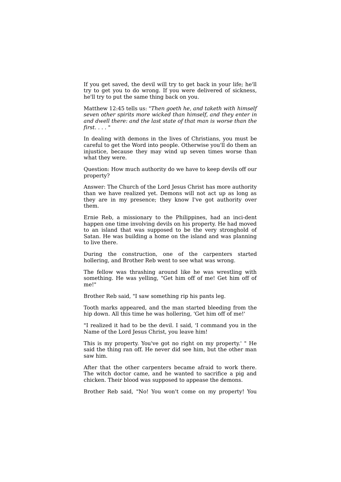If you get saved, the devil will try to get back in your life; he'll try to get you to do wrong. If you were delivered of sickness, he'll try to put the same thing back on you.

Matthew 12:45 tells us: *"Then goeth he, and taketh with himself seven other spirits more wicked than himself, and they enter in and dwell there: and the last state of that man is worse than the first.* . . . "

In dealing with demons in the lives of Christians, you must be careful to get the Word into people. Otherwise you'll do them an injustice, because they may wind up seven times worse than what they were.

Question: How much authority do we have to keep devils off our property?

Answer: The Church of the Lord Jesus Christ has more authority than we have realized yet. Demons will not act up as long as they are in my presence; they know I've got authority over them.

Ernie Reb, a missionary to the Philippines, had an inci-dent happen one time involving devils on his property. He had moved to an island that was supposed to be the very stronghold of Satan. He was building a home on the island and was planning to live there.

During the construction, one of the carpenters started hollering, and Brother Reb went to see what was wrong.

The fellow was thrashing around like he was wrestling with something. He was yelling, "Get him off of me! Get him off of me!"

Brother Reb said, "I saw something rip his pants leg.

Tooth marks appeared, and the man started bleeding from the hip down. All this time he was hollering, 'Get him off of me!'

"I realized it had to be the devil. I said, 'I command you in the Name of the Lord Jesus Christ, you leave him!

This is my property. You've got no right on my property.' " He said the thing ran off. He never did see him, but the other man saw him.

After that the other carpenters became afraid to work there. The witch doctor came, and he wanted to sacrifice a pig and chicken. Their blood was supposed to appease the demons.

Brother Reb said, "No! You won't come on my property! You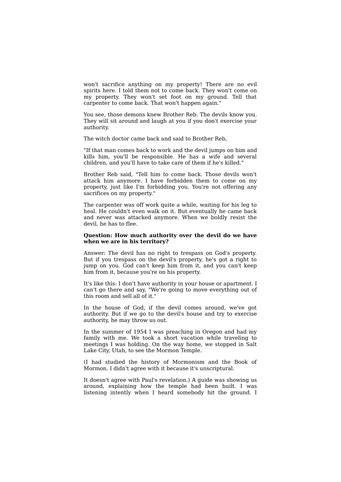won't sacrifice anything on my property! There are no evil spirits here. I told them not to come back. They won't come on my property. They won't set foot on my ground. Tell that carpenter to come back. That won't happen again."

You see, those demons knew Brother Reb. The devils know you. They will sit around and laugh at you if you don't exercise your authority.

The witch doctor came back and said to Brother Reb,

"If that man comes back to work and the devil jumps on him and kills him, you'll be responsible. He has a wife and several children, and you'll have to take care of them if he's killed."

Brother Reb said, "Tell him to come back. Those devils won't attack him anymore. I have forbidden them to come on my property, just like I'm forbidding you. You're not offering any sacrifices on my property."

The carpenter was off work quite a while, waiting for his leg to heal. He couldn't even walk on it. But eventually he came back and never was attacked anymore. When we boldly resist the devil, he has to flee.

### **Question: How much authority over the devil do we have when we are in his territory?**

Answer: The devil has no right to trespass on God's property. But if you trespass on the devil's property, he's got a right to jump on you. God can't keep him from it, and you can't keep him from it, because you're on his property.

It's like this: I don't have authority in your house or apartment. I can't go there and say, "We're going to move everything out of this room and sell all of it."

In the house of God, if the devil comes around, we've got authority. But if we go to the devil's house and try to exercise authority, he may throw us out.

In the summer of 1954 I was preaching in Oregon and had my family with me. We took a short vacation while traveling to meetings I was holding. On the way home, we stopped in Salt Lake City, Utah, to see the Mormon Temple.

(I had studied the history of Mormonism and the Book of Mormon. I didn't agree with it because it's unscriptural.

It doesn't agree with Paul's revelation.) A guide was showing us around, explaining how the temple had been built. I was listening intently when I heard somebody hit the ground. I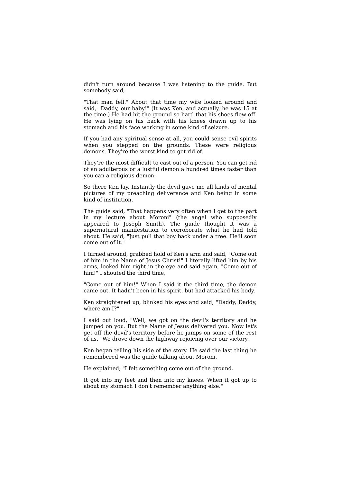didn't turn around because I was listening to the guide. But somebody said,

"That man fell." About that time my wife looked around and said, "Daddy, our baby!" (It was Ken, and actually, he was 15 at the time.) He had hit the ground so hard that his shoes flew off. He was lying on his back with his knees drawn up to his stomach and his face working in some kind of seizure.

If you had any spiritual sense at all, you could sense evil spirits when you stepped on the grounds. These were religious demons. They're the worst kind to get rid of.

They're the most difficult to cast out of a person. You can get rid of an adulterous or a lustful demon a hundred times faster than you can a religious demon.

So there Ken lay. Instantly the devil gave me all kinds of mental pictures of my preaching deliverance and Ken being in some kind of institution.

The guide said, "That happens very often when I get to the part in my lecture about Moroni" (the angel who supposedly appeared to Joseph Smith). The guide thought it was a supernatural manifestation to corroborate what he had told about. He said, "Just pull that boy back under a tree. He'll soon come out of it."

I turned around, grabbed hold of Ken's arm and said, "Come out of him in the Name of Jesus Christ!" I literally lifted him by his arms, looked him right in the eye and said again, "Come out of him!" I shouted the third time,

"Come out of him!" When I said it the third time, the demon came out. It hadn't been in his spirit, but had attacked his body.

Ken straightened up, blinked his eyes and said, "Daddy, Daddy, where am I?"

I said out loud, "Well, we got on the devil's territory and he jumped on you. But the Name of Jesus delivered you. Now let's get off the devil's territory before he jumps on some of the rest of us." We drove down the highway rejoicing over our victory.

Ken began telling his side of the story. He said the last thing he remembered was the guide talking about Moroni.

He explained, "I felt something come out of the ground.

It got into my feet and then into my knees. When it got up to about my stomach I don't remember anything else."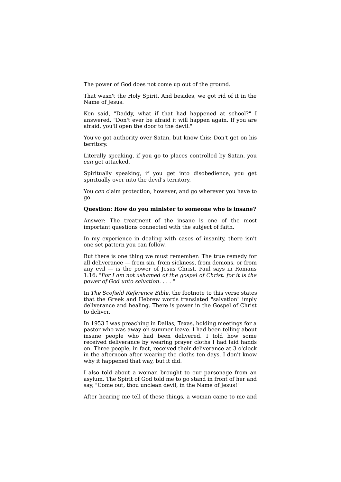The power of God does not come up out of the ground.

That wasn't the Holy Spirit. And besides, we got rid of it in the Name of Jesus.

Ken said, "Daddy, what if that had happened at school?" I answered, "Don't ever be afraid it will happen again. If you are afraid, you'll open the door to the devil."

You've got authority over Satan, but know this: Don't get on his territory.

Literally speaking, if you go to places controlled by Satan, you *can* get attacked.

Spiritually speaking, if you get into disobedience, you get spiritually over into the devil's territory.

You *can* claim protection, however, and go wherever you have to go.

# **Question: How do you minister to someone who is insane?**

Answer: The treatment of the insane is one of the most important questions connected with the subject of faith.

In my experience in dealing with cases of insanity, there isn't one set pattern you can follow.

But there is one thing we must remember: The true remedy for all deliverance — from sin, from sickness, from demons, or from any  $evil$  — is the power of Jesus Christ. Paul says in Romans 1:16: *"For I am not ashamed of the gospel of Christ: for it is the power of God unto salvation*. . . . "

In *The Scofield Reference Bible,* the footnote to this verse states that the Greek and Hebrew words translated "salvation" imply deliverance and healing. There is power in the Gospel of Christ to deliver.

In 1953 I was preaching in Dallas, Texas, holding meetings for a pastor who was away on summer leave. I had been telling about insane people who had been delivered. I told how some received deliverance by wearing prayer cloths I had laid hands on. Three people, in fact, received their deliverance at 3 o'clock in the afternoon after wearing the cloths ten days. I don't know why it happened that way, but it did.

I also told about a woman brought to our parsonage from an asylum. The Spirit of God told me to go stand in front of her and say, "Come out, thou unclean devil, in the Name of Jesus!"

After hearing me tell of these things, a woman came to me and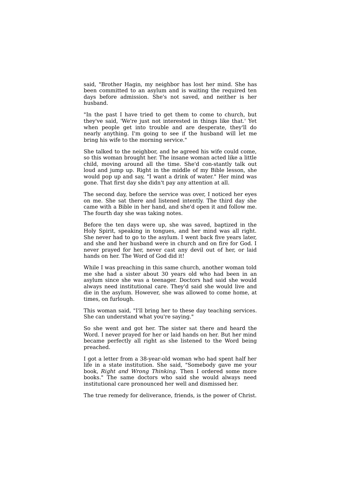said, "Brother Hagin, my neighbor has lost her mind. She has been committed to an asylum and is waiting the required ten days before admission. She's not saved, and neither is her husband.

"In the past I have tried to get them to come to church, but they've said, 'We're just not interested in things like that.' Yet when people get into trouble and are desperate, they'll do nearly anything. I'm going to see if the husband will let me bring his wife to the morning service."

She talked to the neighbor, and he agreed his wife could come, so this woman brought her. The insane woman acted like a little child, moving around all the time. She'd con-stantly talk out loud and jump up. Right in the middle of my Bible lesson, she would pop up and say, "I want a drink of water." Her mind was gone. That first day she didn't pay any attention at all.

The second day, before the service was over, I noticed her eyes on me. She sat there and listened intently. The third day she came with a Bible in her hand, and she'd open it and follow me. The fourth day she was taking notes.

Before the ten days were up, she was saved, baptized in the Holy Spirit, speaking in tongues, and her mind was all right. She never had to go to the asylum. I went back five years later, and she and her husband were in church and on fire for God. I never prayed for her, never cast any devil out of her, or laid hands on her. The Word of God did it!

While I was preaching in this same church, another woman told me she had a sister about 30 years old who had been in an asylum since she was a teenager. Doctors had said she would always need institutional care. They'd said she would live and die in the asylum. However, she was allowed to come home, at times, on furlough.

This woman said, "I'll bring her to these day teaching services. She can understand what you're saying."

So she went and got her. The sister sat there and heard the Word. I never prayed for her or laid hands on her. But her mind became perfectly all right as she listened to the Word being preached.

I got a letter from a 38-year-old woman who had spent half her life in a state institution. She said, "Somebody gave me your book, *Right and Wrong Thinking.* Then I ordered some more books." The same doctors who said she would always need institutional care pronounced her well and dismissed her.

The true remedy for deliverance, friends, is the power of Christ.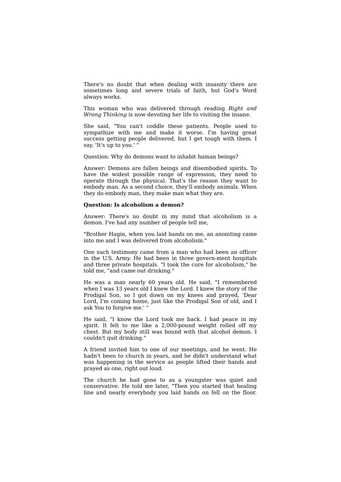There's no doubt that when dealing with insanity there are sometimes long and severe trials of faith, but God's Word always works.

This woman who was delivered through reading *Right and Wrong Thinking* is now devoting her life to visiting the insane.

She said, "You can't coddle these patients. People used to sympathize with me and make it worse. I'm having great success getting people delivered, but I get tough with them. I say, 'It's up to you.' "

Question: Why do demons want to inhabit human beings?

Answer: Demons are fallen beings and disembodied spirits. To have the widest possible range of expression, they need to operate through the physical. That's the reason they want to embody man. As a second choice, they'll embody animals. When they do embody man, they make man what they are.

#### **Question: Is alcoholism a demon?**

Answer: There's no doubt in my mind that alcoholism is a demon. I've had any number of people tell me,

"Brother Hagin, when you laid hands on me, an anointing came into me and I was delivered from alcoholism."

One such testimony came from a man who had been an officer in the U.S. Army. He had been in three govern-ment hospitals and three private hospitals. "I took the cure for alcoholism," he told me, "and came out drinking."

He was a man nearly 60 years old. He said, "I remembered when I was 13 years old I knew the Lord. I knew the story of the Prodigal Son, so I got down on my knees and prayed, 'Dear Lord, I'm coming home, just like the Prodigal Son of old, and I ask You to forgive me.' "

He said, "I know the Lord took me back. I had peace in my spirit. It felt to me like a 2,000-pound weight rolled off my chest. But my body still was bound with that alcohol demon. I couldn't quit drinking."

A friend invited him to one of our meetings, and he went. He hadn't been to church in years, and he didn't understand what was happening in the service as people lifted their hands and prayed as one, right out loud.

The church he had gone to as a youngster was quiet and conservative. He told me later, "Then you started that healing line and nearly everybody you laid hands on fell on the floor.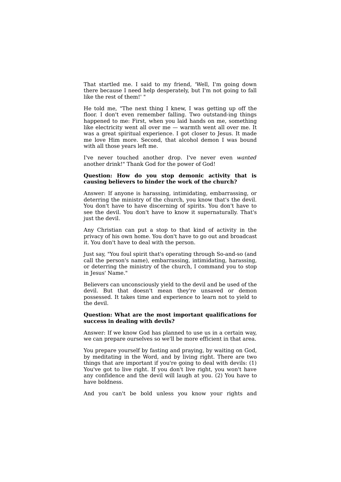That startled me. I said to my friend, 'Well, I'm going down there because I need help desperately, but I'm not going to fall like the rest of them!' "

He told me, "The next thing I knew, I was getting up off the floor. I don't even remember falling. Two outstand-ing things happened to me: First, when you laid hands on me, something like electricity went all over me — warmth went all over me. It was a great spiritual experience. I got closer to Jesus. It made me love Him more. Second, that alcohol demon I was bound with all those years left me.

I've never touched another drop. I've never even *wanted* another drink!" Thank God for the power of God!

## **Question: How do you stop demonic activity that is causing believers to hinder the work of the church?**

Answer: If anyone is harassing, intimidating, embarrassing, or deterring the ministry of the church, you know that's the devil. You don't have to have discerning of spirits. You don't have to see the devil. You don't have to know it supernaturally. That's just the devil.

Any Christian can put a stop to that kind of activity in the privacy of his own home. You don't have to go out and broadcast it. You don't have to deal with the person.

Just say, "You foul spirit that's operating through So-and-so (and call the person's name), embarrassing, intimidating, harassing, or deterring the ministry of the church, I command you to stop in Jesus' Name."

Believers can unconsciously yield to the devil and be used of the devil. But that doesn't mean they're unsaved or demon possessed. It takes time and experience to learn not to yield to the devil.

### **Question: What are the most important qualifications for success in dealing with devils?**

Answer: If we know God has planned to use us in a certain way, we can prepare ourselves so we'll be more efficient in that area.

You prepare yourself by fasting and praying, by waiting on God, by meditating in the Word, and by living right. There are two things that are important if you're going to deal with devils: (1) You've got to live right. If you don't live right, you won't have any confidence and the devil will laugh at you. (2) You have to have boldness.

And you can't be bold unless you know your rights and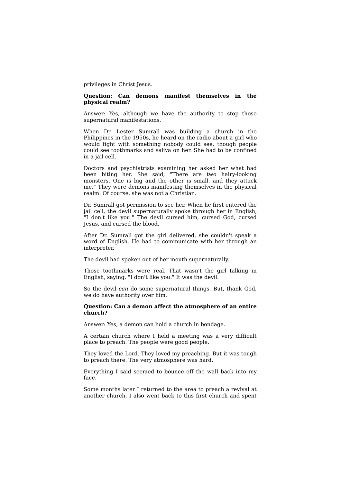privileges in Christ Jesus.

# **Question: Can demons manifest themselves in the physical realm?**

Answer: Yes, although we have the authority to stop those supernatural manifestations.

When Dr. Lester Sumrall was building a church in the Philippines in the 1950s, he heard on the radio about a girl who would fight with something nobody could see, though people could see toothmarks and saliva on her. She had to be confined in a jail cell.

Doctors and psychiatrists examining her asked her what had been biting her. She said, "There are two hairy-looking monsters. One is big and the other is small, and they attack me." They were demons manifesting themselves in the physical realm. Of course, she was not a Christian.

Dr. Sumrall got permission to see her. When he first entered the jail cell, the devil supernaturally spoke through her in English, "I don't like you." The devil cursed him, cursed God, cursed Jesus, and cursed the blood.

After Dr. Sumrall got the girl delivered, she couldn't speak a word of English. He had to communicate with her through an interpreter.

The devil had spoken out of her mouth supernaturally.

Those toothmarks were real. That wasn't the girl talking in English, saying, "I don't like you." It was the devil.

So the devil *can* do some supernatural things. But, thank God, we do have authority over him.

#### **Question: Can a demon affect the atmosphere of an entire church?**

Answer: Yes, a demon can hold a church in bondage.

A certain church where I held a meeting was a very difficult place to preach. The people were good people.

They loved the Lord. They loved my preaching. But it was tough to preach there. The very atmosphere was hard.

Everything I said seemed to bounce off the wall back into my face.

Some months later I returned to the area to preach a revival at another church. I also went back to this first church and spent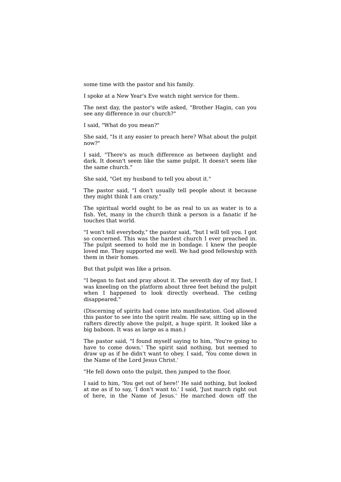some time with the pastor and his family.

I spoke at a New Year's Eve watch night service for them.

The next day, the pastor's wife asked, "Brother Hagin, can you see any difference in our church?"

I said, "What do you mean?"

She said, "Is it any easier to preach here? What about the pulpit now?"

I said, "There's as much difference as between daylight and dark. It doesn't seem like the same pulpit. It doesn't seem like the same church."

She said, "Get my husband to tell you about it."

The pastor said, "I don't usually tell people about it because they might think I am crazy."

The spiritual world ought to be as real to us as water is to a fish. Yet, many in the church think a person is a fanatic if he touches that world.

"I won't tell everybody," the pastor said, "but I will tell you. I got so concerned. This was the hardest church I ever preached in. The pulpit seemed to hold me in bondage. I knew the people loved me. They supported me well. We had good fellowship with them in their homes.

But that pulpit was like a prison.

"I began to fast and pray about it. The seventh day of my fast, I was kneeling on the platform about three feet behind the pulpit when I happened to look directly overhead. The ceiling disappeared."

(Discerning of spirits had come into manifestation. God allowed this pastor to see into the spirit realm. He saw, sitting up in the rafters directly above the pulpit, a huge spirit. It looked like a big baboon. It was as large as a man.)

The pastor said, "I found myself saying to him, 'You're going to have to come down.' The spirit said nothing, but seemed to draw up as if he didn't want to obey. I said, 'You come down in the Name of the Lord Jesus Christ.'

"He fell down onto the pulpit, then jumped to the floor.

I said to him, 'You get out of here!' He said nothing, but looked at me as if to say, 'I don't want to.' I said, 'Just march right out of here, in the Name of Jesus.' He marched down off the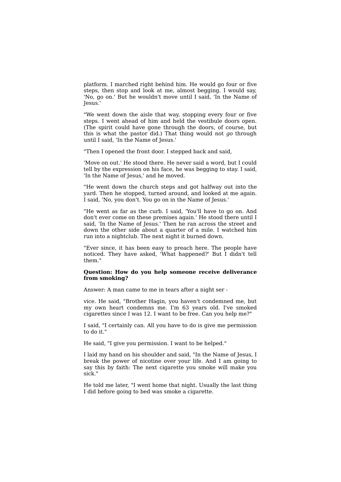platform. I marched right behind him. He would go four or five steps, then stop and look at me, almost begging. I would say, 'No, go on.' But he wouldn't move until I said, 'In the Name of Jesus.'

"We went down the aisle that way, stopping every four or five steps. I went ahead of him and held the vestibule doors open. (The spirit could have gone through the doors, of course, but this is what the pastor did.) That thing would not *go* through until I said, 'In the Name of Jesus.'

"Then I opened the front door. I stepped back and said,

'Move on out.' He stood there. He never said a word, but I could tell by the expression on his face, he was begging to stay. I said, 'In the Name of Jesus,' and he moved.

"He went down the church steps and got halfway out into the yard. Then he stopped, turned around, and looked at me again. I said, 'No, you don't. You go on in the Name of Jesus.'

"He went as far as the curb. I said, 'You'll have to go on. And don't ever come on these premises again.' He stood there until I said, 'In the Name of Jesus.' Then he ran across the street and down the other side about a quarter of a mile. I watched him run into a nightclub. The next night it burned down.

"Ever since, it has been easy to preach here. The people have noticed. They have asked, 'What happened?' But I didn't tell them."

### **Question: How do you help someone receive deliverance from smoking?**

Answer: A man came to me in tears after a night ser -

vice. He said, "Brother Hagin, you haven't condemned me, but my own heart condemns me. I'm 63 years old. I've smoked cigarettes since I was 12. I want to be free. Can you help me?"

I said, "I certainly can. All you have to do is give me permission to do it."

He said, "I give you permission. I want to be helped."

I laid my hand on his shoulder and said, "In the Name of Jesus, I break the power of nicotine over your life. And I am going to say this by faith: The next cigarette you smoke will make you sick."

He told me later, "I went home that night. Usually the last thing I did before going to bed was smoke a cigarette.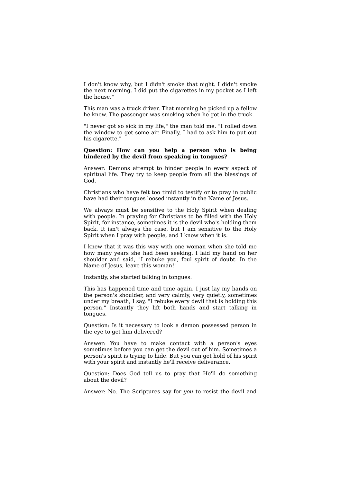I don't know why, but I didn't smoke that night. I didn't smoke the next morning. I did put the cigarettes in my pocket as I left the house."

This man was a truck driver. That morning he picked up a fellow he knew. The passenger was smoking when he got in the truck.

"I never got so sick in my life," the man told me. "I rolled down the window to get some air. Finally, I had to ask him to put out his cigarette."

## **Question: How can you help a person who is being hindered by the devil from speaking in tongues?**

Answer: Demons attempt to hinder people in every aspect of spiritual life. They try to keep people from all the blessings of God.

Christians who have felt too timid to testify or to pray in public have had their tongues loosed instantly in the Name of Jesus.

We always must be sensitive to the Holy Spirit when dealing with people. In praying for Christians to be filled with the Holy Spirit, for instance, sometimes it is the devil who's holding them back. It isn't always the case, but I am sensitive to the Holy Spirit when I pray with people, and I know when it is.

I knew that it was this way with one woman when she told me how many years she had been seeking. I laid my hand on her shoulder and said, "I rebuke you, foul spirit of doubt. In the Name of Jesus, leave this woman!"

Instantly, she started talking in tongues.

This has happened time and time again. I just lay my hands on the person's shoulder, and very calmly, very quietly, sometimes under my breath, I say, "I rebuke every devil that is holding this person." Instantly they lift both hands and start talking in tongues.

Question: Is it necessary to look a demon possessed person in the eye to get him delivered?

Answer: You have to make contact with a person's eyes sometimes before you can get the devil out of him. Sometimes a person's spirit is trying to hide. But you can get hold of his spirit with your spirit and instantly he'll receive deliverance.

Question: Does God tell us to pray that He'll do something about the devil?

Answer: No. The Scriptures say for *you* to resist the devil and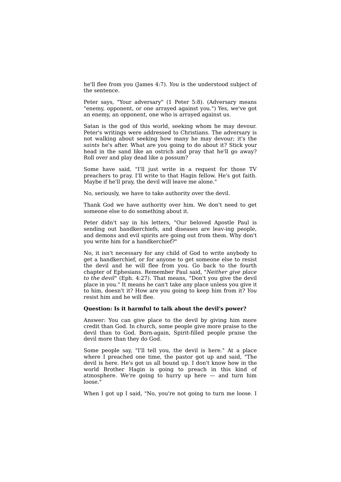he'll flee from you (James 4:7). *You* is the understood subject of the sentence.

Peter says, "Your adversary" (1 Peter 5:8). (Adversary means "enemy, opponent, or one arrayed against you.") Yes, we've got an enemy, an opponent, one who is arrayed against us.

Satan is the god of this world, seeking whom he may devour. Peter's writings were addressed to Christians. The adversary is not walking about seeking how many he may devour; it's the *saints* he's after. What are you going to do about it? Stick your head in the sand like an ostrich and pray that he'll go away? Roll over and play dead like a possum?

Some have said, "I'll just write in a request for those TV preachers to pray. I'll write to that Hagin fellow. He's got faith. Maybe if he'll pray, the devil will leave me alone."

No, seriously, we have to take authority over the devil.

Thank God we have authority over him. We don't need to get someone else to do something about it.

Peter didn't say in his letters, "Our beloved Apostle Paul is sending out handkerchiefs, and diseases are leav-ing people, and demons and evil spirits are going out from them. Why don't you write him for a handkerchief?"

No, it isn't necessary for any child of God to write anybody to get a handkerchief, or for anyone to get someone else to resist the devil and he will flee from you. Go back to the fourth chapter of Ephesians. Remember Paul said, *"Neither give place to the devil"* (Eph. 4:27). That means, "Don't you give the devil place in you." It means he can't take any place unless you give it to him, doesn't it? How are you going to keep him from it? *You* resist him and he will flee.

#### **Question: Is it harmful to talk about the devil's power?**

Answer: You can give place to the devil by giving him more credit than God. In church, some people give more praise to the devil than to God. Born-again, Spirit-filled people praise the devil more than they do God.

Some people say, "I'll tell you, the devil is here." At a place where I preached one time, the pastor got up and said, "The devil is here. He's got us all bound up. I don't know how in the world Brother Hagin is going to preach in this kind of atmosphere. We're going to hurry up here  $-$  and turn him loose."

When I got up I said, "No, you're not going to turn me loose. I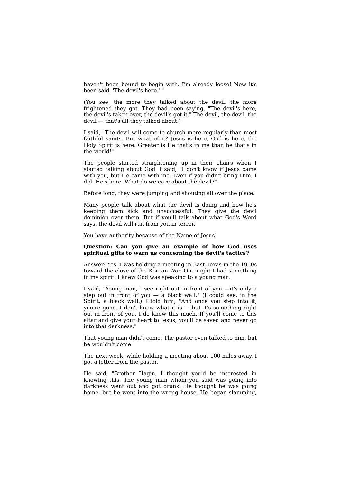haven't been bound to begin with. I'm already loose! Now it's been said, 'The devil's here.' "

(You see, the more they talked about the devil, the more frightened they got. They had been saying, "The devil's here, the devil's taken over, the devil's got it." The devil, the devil, the devil — that's all they talked about.)

I said, "The devil will come to church more regularly than most faithful saints. But what of it? Jesus is here, God is here, the Holy Spirit is here. Greater is He that's in me than he that's in the world!"

The people started straightening up in their chairs when I started talking about God. I said, "I don't know if Jesus came with you, but He came with me. Even if you didn't bring Him, I did. He's here. What do we care about the devil?"

Before long, they were jumping and shouting all over the place.

Many people talk about what the devil is doing and how he's keeping them sick and unsuccessful. They give the devil dominion over them. But if you'll talk about what God's Word says, the devil will run from you in terror.

You have authority because of the Name of Jesus!

# **Question: Can you give an example of how God uses spiritual gifts to warn us concerning the devil's tactics?**

Answer: Yes. I was holding a meeting in East Texas in the 1950s toward the close of the Korean War. One night I had something in my spirit. I knew God was speaking to a young man.

I said, "Young man, I see right out in front of you —it's only a step out in front of you  $-$  a black wall." (I could see, in the Spirit, a black wall.) I told him, "And once you step into it, you're gone. I don't know what it is  $-$  but it's something right out in front of you. I do know this much. If you'll come to this altar and give your heart to Jesus, you'll be saved and never go into that darkness."

That young man didn't come. The pastor even talked to him, but he wouldn't come.

The next week, while holding a meeting about 100 miles away, I got a letter from the pastor.

He said, "Brother Hagin, I thought you'd be interested in knowing this. The young man whom you said was going into darkness went out and got drunk. He thought he was going home, but he went into the wrong house. He began slamming,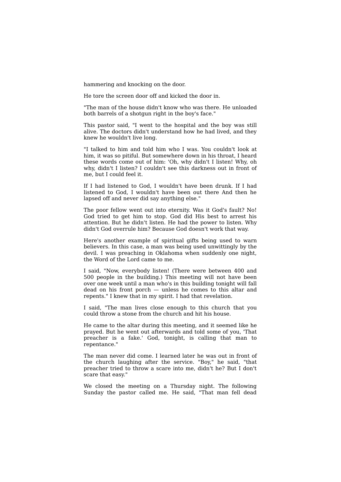hammering and knocking on the door.

He tore the screen door off and kicked the door in.

"The man of the house didn't know who was there. He unloaded both barrels of a shotgun right in the boy's face."

This pastor said, "I went to the hospital and the boy was still alive. The doctors didn't understand how he had lived, and they knew he wouldn't live long.

"I talked to him and told him who I was. You couldn't look at him, it was so pitiful. But somewhere down in his throat, I heard these words come out of him: 'Oh, why didn't I listen! Why, oh why, didn't I listen? I couldn't see this darkness out in front of me, but I could feel it.

If I had listened to God, I wouldn't have been drunk. If I had listened to God, I wouldn't have been out there And then he lapsed off and never did say anything else."

The poor fellow went out into eternity. Was it God's fault? No! God tried to get him to stop. God did His best to arrest his attention. But he didn't listen. He had the power to listen. Why didn't God overrule him? Because God doesn't work that way.

Here's another example of spiritual gifts being used to warn believers. In this case, a man was being used unwittingly by the devil. I was preaching in Oklahoma when suddenly one night, the Word of the Lord came to me.

I said, "Now, everybody listen! (There were between 400 and 500 people in the building.) This meeting will not have been over one week until a man who's in this building tonight will fall dead on his front porch — unless he comes to this altar and repents." I knew that in my spirit. I had that revelation.

I said, "The man lives close enough to this church that you could throw a stone from the church and hit his house.

He came to the altar during this meeting, and it seemed like he prayed. But he went out afterwards and told some of you, 'That preacher is a fake.' God, tonight, is calling that man to repentance."

The man never did come. I learned later he was out in front of the church laughing after the service. "Boy," he said, "that preacher tried to throw a scare into me, didn't he? But I don't scare that easy."

We closed the meeting on a Thursday night. The following Sunday the pastor called me. He said, "That man fell dead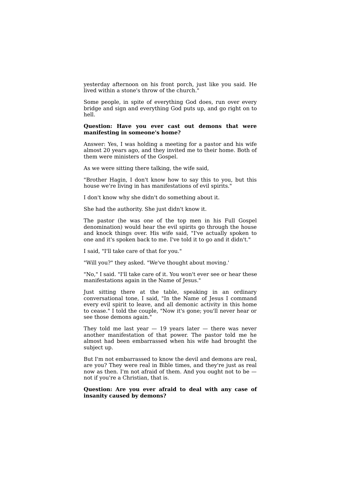yesterday afternoon on his front porch, just like you said. He lived within a stone's throw of the church."

Some people, in spite of everything God does, run over every bridge and sign and everything God puts up, and go right on to hell.

# **Question: Have you ever cast out demons that were manifesting in someone's home?**

Answer: Yes, I was holding a meeting for a pastor and his wife almost 20 years ago, and they invited me to their home. Both of them were ministers of the Gospel.

As we were sitting there talking, the wife said,

"Brother Hagin, I don't know how to say this to you, but this house we're living in has manifestations of evil spirits."

I don't know why she didn't do something about it.

She had the authority. She just didn't know it.

The pastor (he was one of the top men in his Full Gospel denomination) would hear the evil spirits go through the house and knock things over. His wife said, "I've actually spoken to one and it's spoken back to me. I've told it to go and it didn't."

I said, "I'll take care of that for you."

"Will you?" they asked. "We've thought about moving.'

"No," I said. "I'll take care of it. You won't ever see or hear these manifestations again in the Name of Jesus."

Just sitting there at the table, speaking in an ordinary conversational tone, I said, "In the Name of Jesus I command every evil spirit to leave, and all demonic activity in this home to cease." I told the couple, "Now it's gone; you'll never hear or see those demons again."

They told me last year  $-19$  years later  $-$  there was never another manifestation of that power. The pastor told me he almost had been embarrassed when his wife had brought the subject up.

But I'm not embarrassed to know the devil and demons are real, are you? They were real in Bible times, and they're just as real now as then. I'm not afraid of them. And you ought not to be not if you're a Christian, that is.

**Question: Are you ever afraid to deal with any case of insanity caused by demons?**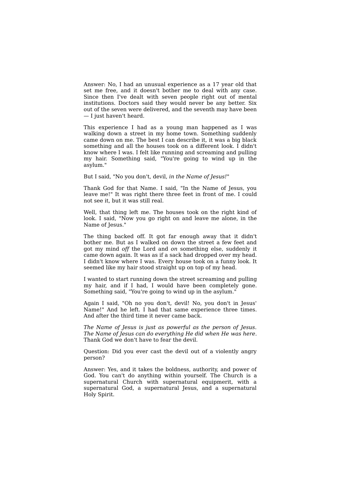Answer: No, I had an unusual experience as a 17 year old that set me free, and it doesn't bother me to deal with any case. Since then I've dealt with seven people right out of mental institutions. Doctors said they would never be any better. Six out of the seven were delivered, and the seventh may have been — I just haven't heard.

This experience I had as a young man happened as I was walking down a street in my home town. Something suddenly came down on me. The best I can describe it, it was a big black something and all the houses took on a different look. I didn't know where I was. I felt like running and screaming and pulling my hair. Something said, "You're going to wind up in the asylum."

#### But I said, "No you don't, devil, *in the Name of Jesus!"*

Thank God for that Name. I said, "In the Name of Jesus, you leave me!" It was right there three feet in front of me. I could not see it, but it was still real.

Well, that thing left me. The houses took on the right kind of look. I said, "Now you go right on and leave me alone, in the Name of Jesus."

The thing backed off. It got far enough away that it didn't bother me. But as I walked on down the street a few feet and got my mind *off* the Lord and *on* something else, suddenly it came down again. It was as if a sack had dropped over my head. I didn't know where I was. Every house took on a funny look. It seemed like my hair stood straight up on top of my head.

I wanted to start running down the street screaming and pulling my hair, and if I had, I would have been completely gone. Something said, "You're going to wind up in the asylum."

Again I said, "Oh no you don't, devil! No, you don't in Jesus' Name!" And he left. I had that same experience three times. And after the third time it never came back.

*The Name of Jesus is just as powerful as the person of Jesus. The Name of Jesus can do everything He did when He was here.* Thank God we don't have to fear the devil.

Question: Did you ever cast the devil out of a violently angry person?

Answer: Yes, and it takes the boldness, authority, and power of God. You can't do anything within yourself. The Church is a supernatural Church with supernatural equipmerit, with a supernatural God, a supernatural Jesus, and a supernatural Holy Spirit.